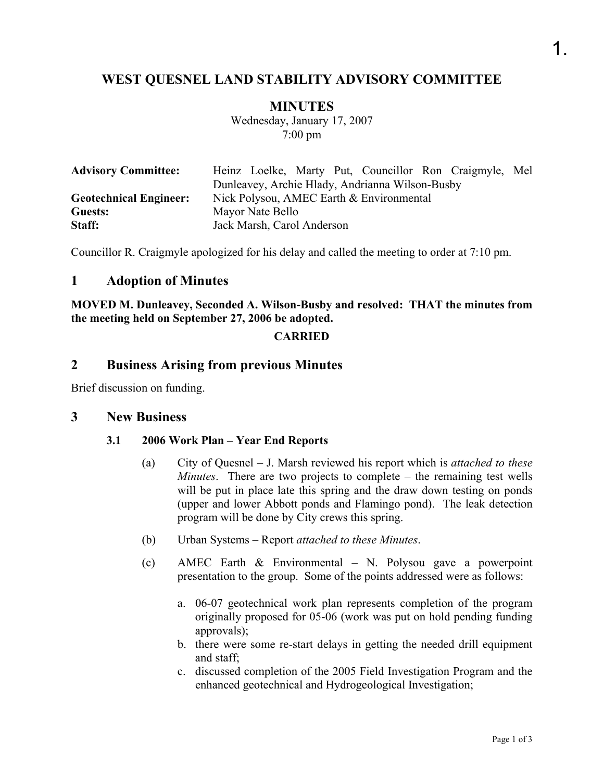## **WEST QUESNEL LAND STABILITY ADVISORY COMMITTEE**

### **MINUTES**

Wednesday, January 17, 2007 7:00 pm

| <b>Advisory Committee:</b>    |                                                 |                            |  |  |  |  | Heinz Loelke, Marty Put, Councillor Ron Craigmyle, Mel |  |
|-------------------------------|-------------------------------------------------|----------------------------|--|--|--|--|--------------------------------------------------------|--|
|                               | Dunleavey, Archie Hlady, Andrianna Wilson-Busby |                            |  |  |  |  |                                                        |  |
| <b>Geotechnical Engineer:</b> | Nick Polysou, AMEC Earth & Environmental        |                            |  |  |  |  |                                                        |  |
| Guests:                       | Mayor Nate Bello                                |                            |  |  |  |  |                                                        |  |
| Staff:                        |                                                 | Jack Marsh, Carol Anderson |  |  |  |  |                                                        |  |

Councillor R. Craigmyle apologized for his delay and called the meeting to order at 7:10 pm.

## **1 Adoption of Minutes**

**MOVED M. Dunleavey, Seconded A. Wilson-Busby and resolved: THAT the minutes from the meeting held on September 27, 2006 be adopted.** 

#### **CARRIED**

## **2 Business Arising from previous Minutes**

Brief discussion on funding.

#### **3 New Business**

#### **3.1 2006 Work Plan – Year End Reports**

- (a) City of Quesnel J. Marsh reviewed his report which is *attached to these Minutes*. There are two projects to complete – the remaining test wells will be put in place late this spring and the draw down testing on ponds (upper and lower Abbott ponds and Flamingo pond). The leak detection program will be done by City crews this spring.
- (b) Urban Systems Report *attached to these Minutes*.
- (c) AMEC Earth & Environmental N. Polysou gave a powerpoint presentation to the group. Some of the points addressed were as follows:
	- a. 06-07 geotechnical work plan represents completion of the program originally proposed for 05-06 (work was put on hold pending funding approvals);
	- b. there were some re-start delays in getting the needed drill equipment and staff;
	- c. discussed completion of the 2005 Field Investigation Program and the enhanced geotechnical and Hydrogeological Investigation;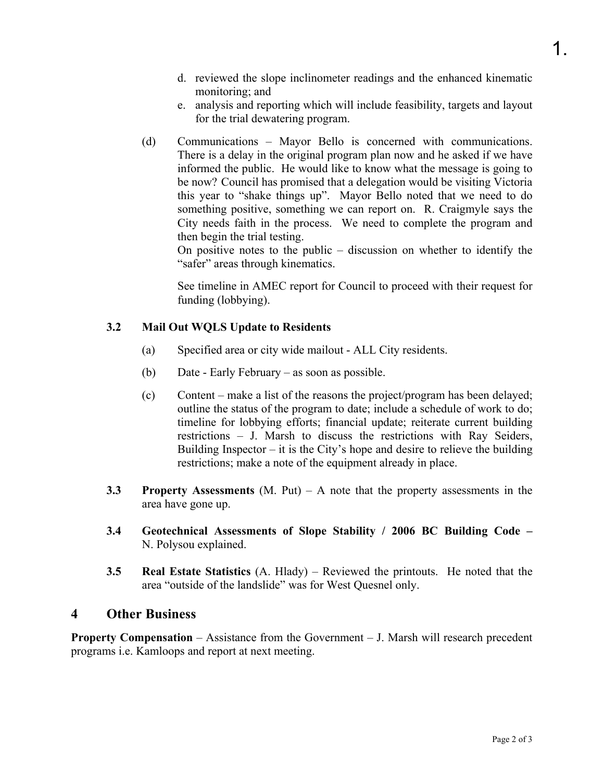- e. analysis and reporting which will include feasibility, targets and layout for the trial dewatering program.
- (d) Communications Mayor Bello is concerned with communications. There is a delay in the original program plan now and he asked if we have informed the public. He would like to know what the message is going to be now? Council has promised that a delegation would be visiting Victoria this year to "shake things up". Mayor Bello noted that we need to do something positive, something we can report on. R. Craigmyle says the City needs faith in the process. We need to complete the program and then begin the trial testing.

On positive notes to the public – discussion on whether to identify the "safer" areas through kinematics.

See timeline in AMEC report for Council to proceed with their request for funding (lobbying).

## **3.2 Mail Out WQLS Update to Residents**

- (a) Specified area or city wide mailout ALL City residents.
- (b) Date Early February as soon as possible.
- (c) Content make a list of the reasons the project/program has been delayed; outline the status of the program to date; include a schedule of work to do; timeline for lobbying efforts; financial update; reiterate current building restrictions – J. Marsh to discuss the restrictions with Ray Seiders, Building Inspector – it is the City's hope and desire to relieve the building restrictions; make a note of the equipment already in place.
- **3.3 Property Assessments** (M. Put) A note that the property assessments in the area have gone up.
- **3.4 Geotechnical Assessments of Slope Stability / 2006 BC Building Code**  N. Polysou explained.
- **3.5 Real Estate Statistics** (A. Hlady) Reviewed the printouts. He noted that the area "outside of the landslide" was for West Quesnel only.

## **4 Other Business**

**Property Compensation** – Assistance from the Government – J. Marsh will research precedent programs i.e. Kamloops and report at next meeting.

1.